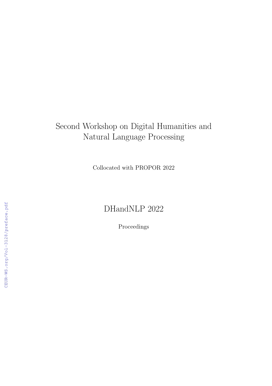# Second Workshop on Digital Humanities and Natural Language Processing

Collocated with PROPOR 2022

## DHandNLP 2022

Proceedings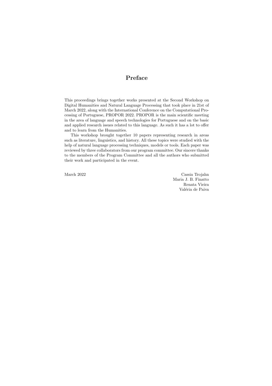### Preface

This proceedings brings together works presented at the Second Workshop on Digital Humanities and Natural Language Processing that took place in 21st of March 2022, along with the International Conference on the Computational Processing of Portuguese, PROPOR 2022. PROPOR is the main scientific meeting in the area of language and speech technologies for Portuguese and on the basic and applied research issues related to this language. As such it has a lot to offer and to learn from the Humanities.

This workshop brought together 10 papers representing research in areas such as literature, linguistics, and history. All these topics were studied with the help of natural language processing techniques, models or tools. Each paper was reviewed by three collaborators from our program committee. Our sincere thanks to the members of the Program Committee and all the authors who submitted their work and participated in the event.

March 2022 Cassia Trojahn Maria J. B. Finatto Renata Vieira Valéria de Paiva